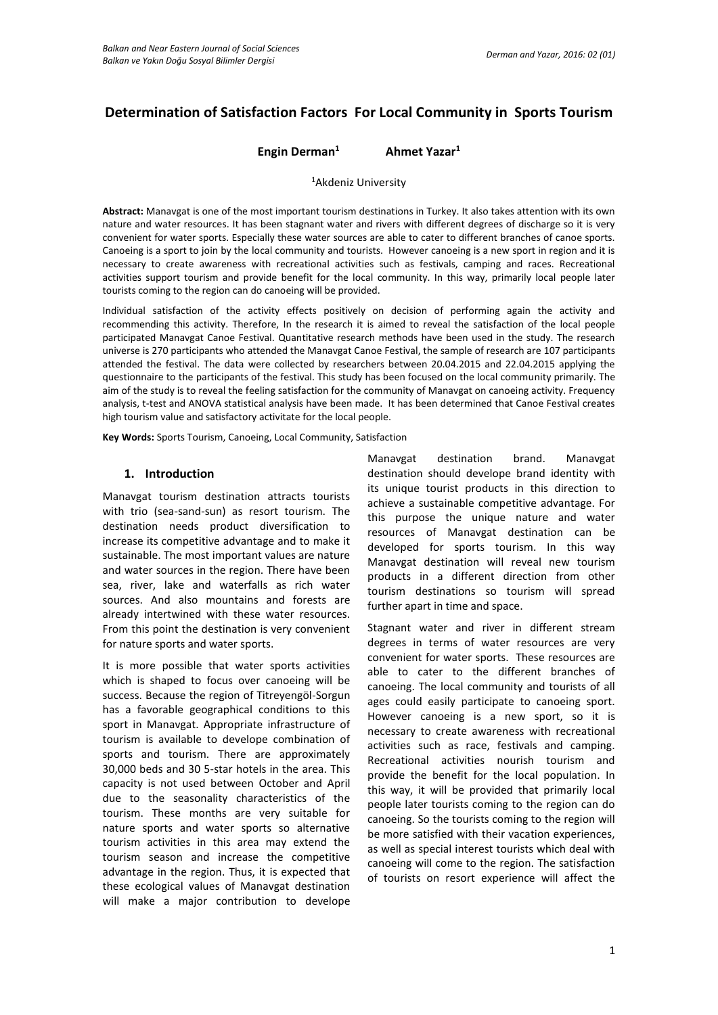# **Determination of Satisfaction Factors For Local Community in Sports Tourism**

## **Engin Derman<sup>1</sup> Ahmet Yazar<sup>1</sup>**

#### <sup>1</sup>Akdeniz University

**Abstract:** Manavgat is one of the most important tourism destinations in Turkey. It also takes attention with its own nature and water resources. It has been stagnant water and rivers with different degrees of discharge so it is very convenient for water sports. Especially these water sources are able to cater to different branches of canoe sports. Canoeing is a sport to join by the local community and tourists. However canoeing is a new sport in region and it is necessary to create awareness with recreational activities such as festivals, camping and races. Recreational activities support tourism and provide benefit for the local community. In this way, primarily local people later tourists coming to the region can do canoeing will be provided.

Individual satisfaction of the activity effects positively on decision of performing again the activity and recommending this activity. Therefore, In the research it is aimed to reveal the satisfaction of the local people participated Manavgat Canoe Festival. Quantitative research methods have been used in the study. The research universe is 270 participants who attended the Manavgat Canoe Festival, the sample of research are 107 participants attended the festival. The data were collected by researchers between 20.04.2015 and 22.04.2015 applying the questionnaire to the participants of the festival. This study has been focused on the local community primarily. The aim of the study is to reveal the feeling satisfaction for the community of Manavgat on canoeing activity. Frequency analysis, t-test and ANOVA statistical analysis have been made. It has been determined that Canoe Festival creates high tourism value and satisfactory activitate for the local people.

**Key Words:** Sports Tourism, Canoeing, Local Community, Satisfaction

### **1. Introduction**

Manavgat tourism destination attracts tourists with trio (sea-sand-sun) as resort tourism. The destination needs product diversification to increase its competitive advantage and to make it sustainable. The most important values are nature and water sources in the region. There have been sea, river, lake and waterfalls as rich water sources. And also mountains and forests are already intertwined with these water resources. From this point the destination is very convenient for nature sports and water sports.

It is more possible that water sports activities which is shaped to focus over canoeing will be success. Because the region of Titreyengöl-Sorgun has a favorable geographical conditions to this sport in Manavgat. Appropriate infrastructure of tourism is available to develope combination of sports and tourism. There are approximately 30,000 beds and 30 5-star hotels in the area. This capacity is not used between October and April due to the seasonality characteristics of the tourism. These months are very suitable for nature sports and water sports so alternative tourism activities in this area may extend the tourism season and increase the competitive advantage in the region. Thus, it is expected that these ecological values of Manavgat destination will make a major contribution to develope

Manavgat destination brand. Manavgat destination should develope brand identity with its unique tourist products in this direction to achieve a sustainable competitive advantage. For this purpose the unique nature and water resources of Manavgat destination can be developed for sports tourism. In this way Manavgat destination will reveal new tourism products in a different direction from other tourism destinations so tourism will spread further apart in time and space.

Stagnant water and river in different stream degrees in terms of water resources are very convenient for water sports. These resources are able to cater to the different branches of canoeing. The local community and tourists of all ages could easily participate to canoeing sport. However canoeing is a new sport, so it is necessary to create awareness with recreational activities such as race, festivals and camping. Recreational activities nourish tourism and provide the benefit for the local population. In this way, it will be provided that primarily local people later tourists coming to the region can do canoeing. So the tourists coming to the region will be more satisfied with their vacation experiences, as well as special interest tourists which deal with canoeing will come to the region. The satisfaction of tourists on resort experience will affect the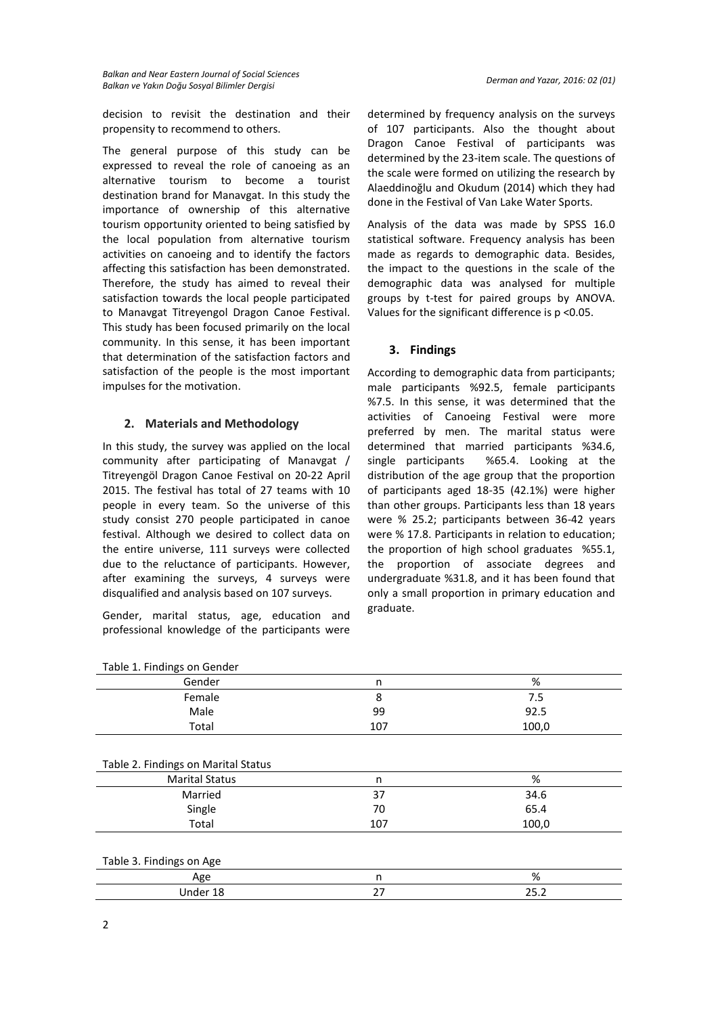decision to revisit the destination and their propensity to recommend to others.

The general purpose of this study can be expressed to reveal the role of canoeing as an alternative tourism to become a tourist destination brand for Manavgat. In this study the importance of ownership of this alternative tourism opportunity oriented to being satisfied by the local population from alternative tourism activities on canoeing and to identify the factors affecting this satisfaction has been demonstrated. Therefore, the study has aimed to reveal their satisfaction towards the local people participated to Manavgat Titreyengol Dragon Canoe Festival. This study has been focused primarily on the local community. In this sense, it has been important that determination of the satisfaction factors and satisfaction of the people is the most important impulses for the motivation.

# **2. Materials and Methodology**

In this study, the survey was applied on the local community after participating of Manavgat / Titreyengöl Dragon Canoe Festival on 20-22 April 2015. The festival has total of 27 teams with 10 people in every team. So the universe of this study consist 270 people participated in canoe festival. Although we desired to collect data on the entire universe, 111 surveys were collected due to the reluctance of participants. However, after examining the surveys, 4 surveys were disqualified and analysis based on 107 surveys.

Gender, marital status, age, education and professional knowledge of the participants were

determined by frequency analysis on the surveys of 107 participants. Also the thought about Dragon Canoe Festival of participants was determined by the 23-item scale. The questions of the scale were formed on utilizing the research by Alaeddinoğlu and Okudum (2014) which they had done in the Festival of Van Lake Water Sports.

Analysis of the data was made by SPSS 16.0 statistical software. Frequency analysis has been made as regards to demographic data. Besides, the impact to the questions in the scale of the demographic data was analysed for multiple groups by t-test for paired groups by ANOVA. Values for the significant difference is p <0.05.

### **3. Findings**

According to demographic data from participants; male participants %92.5, female participants %7.5. In this sense, it was determined that the activities of Canoeing Festival were more preferred by men. The marital status were determined that married participants %34.6, single participants %65.4. Looking at the distribution of the age group that the proportion of participants aged 18-35 (42.1%) were higher than other groups. Participants less than 18 years were % 25.2; participants between 36-42 years were % 17.8. Participants in relation to education; the proportion of high school graduates %55.1, the proportion of associate degrees and undergraduate %31.8, and it has been found that only a small proportion in primary education and graduate.

| Table 1. Findings on Gender         |     |       |
|-------------------------------------|-----|-------|
| Gender                              | n   | %     |
| Female                              | 8   | 7.5   |
| Male                                | 99  | 92.5  |
| Total                               | 107 | 100,0 |
|                                     |     |       |
| Table 2. Findings on Marital Status |     |       |
| <b>Marital Status</b>               | n   | %     |
| Married                             | 37  | 34.6  |
| Single                              | 70  | 65.4  |
| Total                               | 107 | 100,0 |
|                                     |     |       |
| Table 3. Findings on Age            |     |       |
| Age                                 | n   | %     |
| Under 18                            | 27  | 25.2  |
|                                     |     |       |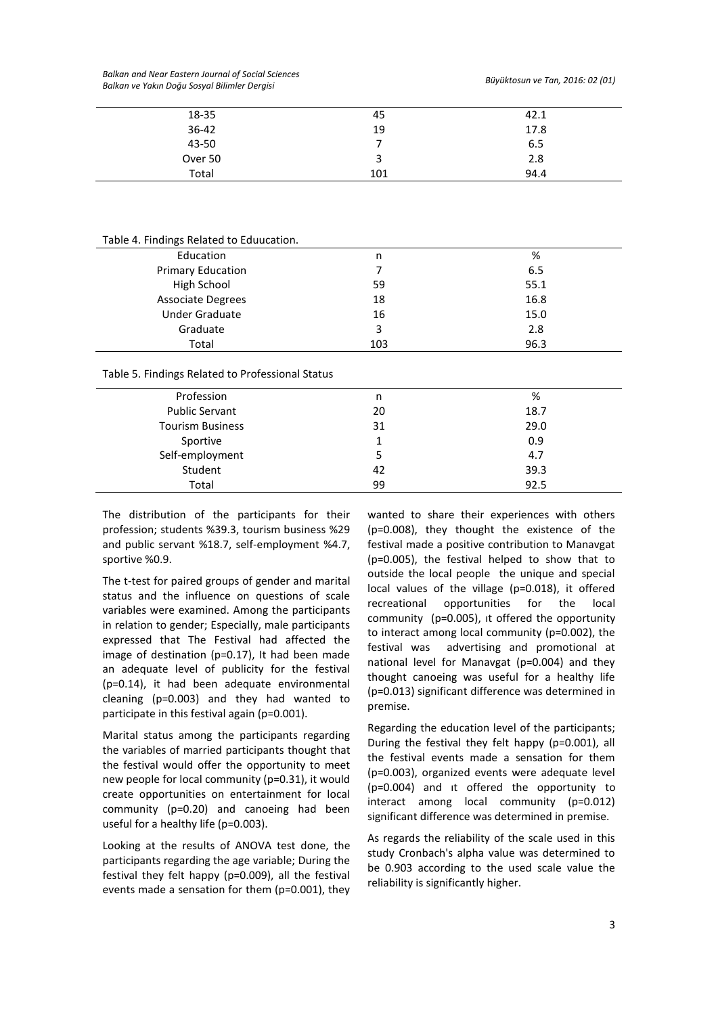*Balkan and Near Eastern Journal of Social Sciences Balkan ve Yakın Doğu Sosyal Bilimler Dergisi Büyüktosun ve Tan, 2016: 02 (01)*

| 18-35     | 45  | 42.1 |
|-----------|-----|------|
| $36 - 42$ | 19  | 17.8 |
| 43-50     |     | 6.5  |
| Over 50   | з   | 2.8  |
| Total     | 101 | 94.4 |
|           |     |      |

Table 4. Findings Related to Eduucation.

| Education                | n   | %    |
|--------------------------|-----|------|
| <b>Primary Education</b> |     | 6.5  |
| High School              | 59  | 55.1 |
| <b>Associate Degrees</b> | 18  | 16.8 |
| <b>Under Graduate</b>    | 16  | 15.0 |
| Graduate                 | 3   | 2.8  |
| Total                    | 103 | 96.3 |

#### Table 5. Findings Related to Professional Status

| Profession              | n  | %    |
|-------------------------|----|------|
| <b>Public Servant</b>   | 20 | 18.7 |
| <b>Tourism Business</b> | 31 | 29.0 |
| Sportive                |    | 0.9  |
| Self-employment         |    | 4.7  |
| Student                 | 42 | 39.3 |
| Total                   | 99 | 92.5 |

The distribution of the participants for their profession; students %39.3, tourism business %29 and public servant %18.7, self-employment %4.7, sportive %0.9.

The t-test for paired groups of gender and marital status and the influence on questions of scale variables were examined. Among the participants in relation to gender; Especially, male participants expressed that The Festival had affected the image of destination (p=0.17), It had been made an adequate level of publicity for the festival (p=0.14), it had been adequate environmental cleaning (p=0.003) and they had wanted to participate in this festival again (p=0.001).

Marital status among the participants regarding the variables of married participants thought that the festival would offer the opportunity to meet new people for local community (p=0.31), it would create opportunities on entertainment for local community (p=0.20) and canoeing had been useful for a healthy life (p=0.003).

Looking at the results of ANOVA test done, the participants regarding the age variable; During the festival they felt happy (p=0.009), all the festival events made a sensation for them (p=0.001), they wanted to share their experiences with others (p=0.008), they thought the existence of the festival made a positive contribution to Manavgat (p=0.005), the festival helped to show that to outside the local people the unique and special local values of the village (p=0.018), it offered recreational opportunities for the local community (p=0.005), ıt offered the opportunity to interact among local community (p=0.002), the festival was advertising and promotional at national level for Manavgat (p=0.004) and they thought canoeing was useful for a healthy life (p=0.013) significant difference was determined in premise.

Regarding the education level of the participants; During the festival they felt happy (p=0.001), all the festival events made a sensation for them (p=0.003), organized events were adequate level (p=0.004) and ıt offered the opportunity to interact among local community (p=0.012) significant difference was determined in premise.

As regards the reliability of the scale used in this study Cronbach's alpha value was determined to be 0.903 according to the used scale value the reliability is significantly higher.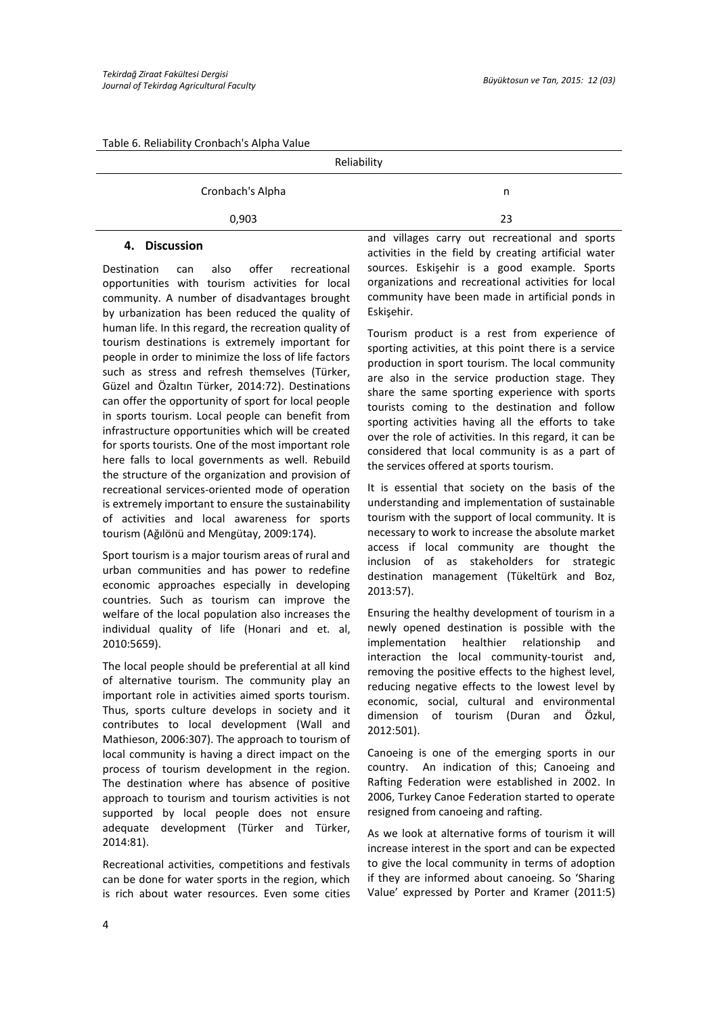#### Table 6. Reliability Cronbach's Alpha Value

|                  | Reliability |    |
|------------------|-------------|----|
| Cronbach's Alpha |             | n  |
| 0,903            |             | 23 |
|                  |             |    |

### **4. Discussion**

Destination can also offer recreational opportunities with tourism activities for local community. A number of disadvantages brought by urbanization has been reduced the quality of human life. In this regard, the recreation quality of tourism destinations is extremely important for people in order to minimize the loss of life factors such as stress and refresh themselves (Türker, Güzel and Özaltın Türker, 2014:72). Destinations can offer the opportunity of sport for local people in sports tourism. Local people can benefit from infrastructure opportunities which will be created for sports tourists. One of the most important role here falls to local governments as well. Rebuild the structure of the organization and provision of recreational services-oriented mode of operation is extremely important to ensure the sustainability of activities and local awareness for sports tourism (Ağılönü and Mengütay, 2009:174).

Sport tourism is a major tourism areas of rural and urban communities and has power to redefine economic approaches especially in developing countries. Such as tourism can improve the welfare of the local population also increases the individual quality of life (Honari and et. al, 2010:5659).

The local people should be preferential at all kind of alternative tourism. The community play an important role in activities aimed sports tourism. Thus, sports culture develops in society and it contributes to local development (Wall and Mathieson, 2006:307). The approach to tourism of local community is having a direct impact on the process of tourism development in the region. The destination where has absence of positive approach to tourism and tourism activities is not supported by local people does not ensure adequate development (Türker and Türker, 2014:81).

Recreational activities, competitions and festivals can be done for water sports in the region, which is rich about water resources. Even some cities and villages carry out recreational and sports activities in the field by creating artificial water sources. Eskişehir is a good example. Sports organizations and recreational activities for local community have been made in artificial ponds in Eskişehir.

Tourism product is a rest from experience of sporting activities, at this point there is a service production in sport tourism. The local community are also in the service production stage. They share the same sporting experience with sports tourists coming to the destination and follow sporting activities having all the efforts to take over the role of activities. In this regard, it can be considered that local community is as a part of the services offered at sports tourism.

It is essential that society on the basis of the understanding and implementation of sustainable tourism with the support of local community. It is necessary to work to increase the absolute market access if local community are thought the inclusion of as stakeholders for strategic destination management (Tükeltürk and Boz, 2013:57).

Ensuring the healthy development of tourism in a newly opened destination is possible with the implementation healthier relationship and interaction the local community-tourist and, removing the positive effects to the highest level, reducing negative effects to the lowest level by economic, social, cultural and environmental dimension of tourism (Duran and Özkul, 2012:501).

Canoeing is one of the emerging sports in our country. An indication of this; Canoeing and Rafting Federation were established in 2002. In 2006, Turkey Canoe Federation started to operate resigned from canoeing and rafting.

As we look at alternative forms of tourism it will increase interest in the sport and can be expected to give the local community in terms of adoption if they are informed about canoeing. So 'Sharing Value' expressed by Porter and Kramer (2011:5)